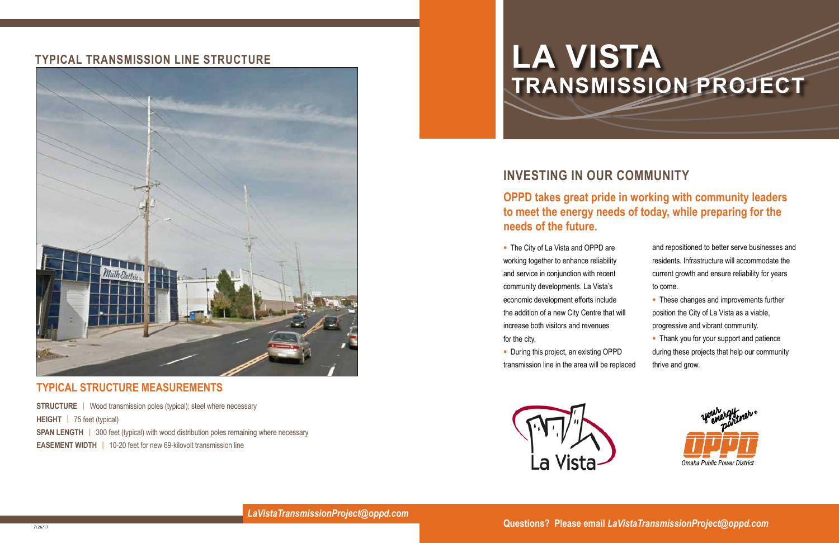# **Investing in Our Community**

## **OPPD takes great pride in working with community leaders to meet the energy needs of today, while preparing for the needs of the future.**

• The City of La Vista and OPPD are working together to enhance reliability and service in conjunction with recent community developments. La Vista's economic development efforts include the addition of a new City Centre that increase both visitors and revenues for the city.

• During this project, an existing OPPI transmission line in the area will be rep



### **Typical Transmission line Structure**



#### **Typical Structure Measurements**

**STRUCTURE** | Wood transmission poles (typical); steel where necessary **Height** | 75 feet (typical) **SPAN LENGTH** | 300 feet (typical) with wood distribution poles remaining where necessary **EASEMENT WIDTH** | 10-20 feet for new 69-kilovolt transmission line

|        | and repositioned to better serve businesses and |
|--------|-------------------------------------------------|
|        | residents. Infrastructure will accommodate the  |
|        | current growth and ensure reliability for years |
|        | to come.                                        |
|        | • These changes and improvements further        |
| will   | position the City of La Vista as a viable,      |
|        | progressive and vibrant community.              |
|        | • Thank you for your support and patience       |
| Έ      | during these projects that help our community   |
| placed | thrive and grow.                                |
|        |                                                 |



**Questions? Please email** *LaVistaTransmissionProject@oppd.com*

*LaVistaTransmissionProject@oppd.com*

# **LA VISTA TRANSMISSION PROJECT**